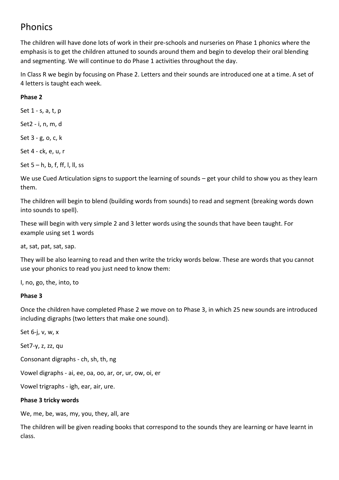# Phonics

The children will have done lots of work in their pre-schools and nurseries on Phase 1 phonics where the emphasis is to get the children attuned to sounds around them and begin to develop their oral blending and segmenting. We will continue to do Phase 1 activities throughout the day.

In Class R we begin by focusing on Phase 2. Letters and their sounds are introduced one at a time. A set of 4 letters is taught each week.

## **Phase 2**

Set 1 - s, a, t, p

Set2 - i, n, m, d

Set 3 - g, o, c, k

Set 4 - ck, e, u, r

Set  $5 - h$ , b, f, ff, l, ll, ss

We use Cued Articulation signs to support the learning of sounds – get your child to show you as they learn them.

The children will begin to blend (building words from sounds) to read and segment (breaking words down into sounds to spell).

These will begin with very simple 2 and 3 letter words using the sounds that have been taught. For example using set 1 words

at, sat, pat, sat, sap.

They will be also learning to read and then write the tricky words below. These are words that you cannot use your phonics to read you just need to know them:

I, no, go, the, into, to

#### **Phase 3**

Once the children have completed Phase 2 we move on to Phase 3, in which 25 new sounds are introduced including digraphs (two letters that make one sound).

Set 6-j, v, w, x

Set7-y, z, zz, qu

Consonant digraphs - ch, sh, th, ng

Vowel digraphs - ai, ee, oa, oo, ar, or, ur, ow, oi, er

Vowel trigraphs - igh, ear, air, ure.

#### **Phase 3 tricky words**

We, me, be, was, my, you, they, all, are

The children will be given reading books that correspond to the sounds they are learning or have learnt in class.